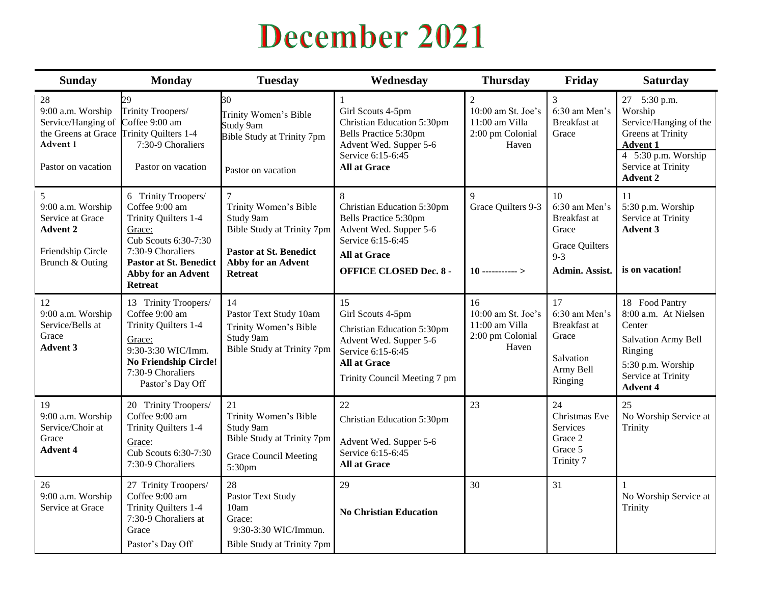## December 2021

| <b>Sunday</b>                                                                                                                                         | <b>Monday</b>                                                                                                                                                                                 | <b>Tuesday</b>                                                                                                                                      | Wednesday                                                                                                                                                       | <b>Thursday</b>                                                                     | Friday                                                                                             | <b>Saturday</b>                                                                                                                                                    |
|-------------------------------------------------------------------------------------------------------------------------------------------------------|-----------------------------------------------------------------------------------------------------------------------------------------------------------------------------------------------|-----------------------------------------------------------------------------------------------------------------------------------------------------|-----------------------------------------------------------------------------------------------------------------------------------------------------------------|-------------------------------------------------------------------------------------|----------------------------------------------------------------------------------------------------|--------------------------------------------------------------------------------------------------------------------------------------------------------------------|
| $28\,$<br>9:00 a.m. Worship<br>Service/Hanging of Coffee 9:00 am<br>the Greens at Grace Trinity Quilters 1-4<br><b>Advent 1</b><br>Pastor on vacation | 29<br>Trinity Troopers/<br>7:30-9 Choraliers<br>Pastor on vacation                                                                                                                            | 30<br>Trinity Women's Bible<br>Study 9am<br><b>Bible Study at Trinity 7pm</b><br>Pastor on vacation                                                 | Girl Scouts 4-5pm<br>Christian Education 5:30pm<br>Bells Practice 5:30pm<br>Advent Wed. Supper 5-6<br>Service 6:15-6:45<br><b>All at Grace</b>                  | $\overline{2}$<br>10:00 am St. Joe's<br>11:00 am Villa<br>2:00 pm Colonial<br>Haven | 3<br>6:30 am Men's<br>Breakfast at<br>Grace                                                        | 27 5:30 p.m.<br>Worship<br>Service/Hanging of the<br><b>Greens</b> at Trinity<br><b>Advent 1</b><br>4 $5:30$ p.m. Worship<br>Service at Trinity<br><b>Advent 2</b> |
| 5<br>9:00 a.m. Worship<br>Service at Grace<br><b>Advent 2</b><br>Friendship Circle<br>Brunch & Outing                                                 | 6 Trinity Troopers/<br>Coffee 9:00 am<br>Trinity Quilters 1-4<br>Grace:<br>Cub Scouts 6:30-7:30<br>7:30-9 Choraliers<br><b>Pastor at St. Benedict</b><br>Abby for an Advent<br><b>Retreat</b> | $\tau$<br>Trinity Women's Bible<br>Study 9am<br>Bible Study at Trinity 7pm<br><b>Pastor at St. Benedict</b><br>Abby for an Advent<br><b>Retreat</b> | 8<br>Christian Education 5:30pm<br>Bells Practice 5:30pm<br>Advent Wed. Supper 5-6<br>Service 6:15-6:45<br><b>All at Grace</b><br><b>OFFICE CLOSED Dec. 8 -</b> | $\mathbf Q$<br>Grace Quilters 9-3<br>$10$ ----------->                              | 10<br>6:30 am Men's<br>Breakfast at<br>Grace<br><b>Grace Quilters</b><br>$9 - 3$<br>Admin. Assist. | 11<br>5:30 p.m. Worship<br>Service at Trinity<br><b>Advent 3</b><br>is on vacation!                                                                                |
| 12<br>9:00 a.m. Worship<br>Service/Bells at<br>Grace<br><b>Advent 3</b>                                                                               | 13 Trinity Troopers/<br>Coffee 9:00 am<br>Trinity Quilters 1-4<br>Grace:<br>9:30-3:30 WIC/Imm.<br><b>No Friendship Circle!</b><br>7:30-9 Choraliers<br>Pastor's Day Off                       | 14<br>Pastor Text Study 10am<br>Trinity Women's Bible<br>Study 9am<br>Bible Study at Trinity 7pm                                                    | 15<br>Girl Scouts 4-5pm<br>Christian Education 5:30pm<br>Advent Wed. Supper 5-6<br>Service 6:15-6:45<br><b>All at Grace</b><br>Trinity Council Meeting 7 pm     | 16<br>10:00 am St. Joe's<br>11:00 am Villa<br>2:00 pm Colonial<br>Haven             | 17<br>6:30 am Men's<br><b>Breakfast</b> at<br>Grace<br>Salvation<br>Army Bell<br>Ringing           | 18 Food Pantry<br>8:00 a.m. At Nielsen<br>Center<br><b>Salvation Army Bell</b><br>Ringing<br>5:30 p.m. Worship<br>Service at Trinity<br><b>Advent 4</b>            |
| 19<br>9:00 a.m. Worship<br>Service/Choir at<br>Grace<br><b>Advent 4</b>                                                                               | 20 Trinity Troopers/<br>Coffee 9:00 am<br>Trinity Quilters 1-4<br>Grace:<br>Cub Scouts 6:30-7:30<br>7:30-9 Choraliers                                                                         | 21<br>Trinity Women's Bible<br>Study 9am<br>Bible Study at Trinity 7pm<br><b>Grace Council Meeting</b><br>5:30pm                                    | 22<br>Christian Education 5:30pm<br>Advent Wed. Supper 5-6<br>Service 6:15-6:45<br><b>All at Grace</b>                                                          | 23                                                                                  | 24<br>Christmas Eve<br>Services<br>Grace 2<br>Grace 5<br>Trinity 7                                 | 25<br>No Worship Service at<br>Trinity                                                                                                                             |
| 26<br>9:00 a.m. Worship<br>Service at Grace                                                                                                           | 27 Trinity Troopers/<br>Coffee 9:00 am<br>Trinity Quilters 1-4<br>7:30-9 Choraliers at<br>Grace<br>Pastor's Day Off                                                                           | 28<br>Pastor Text Study<br>10am<br>Grace:<br>9:30-3:30 WIC/Immun.<br>Bible Study at Trinity 7pm                                                     | 29<br><b>No Christian Education</b>                                                                                                                             | 30                                                                                  | 31                                                                                                 | 1<br>No Worship Service at<br>Trinity                                                                                                                              |